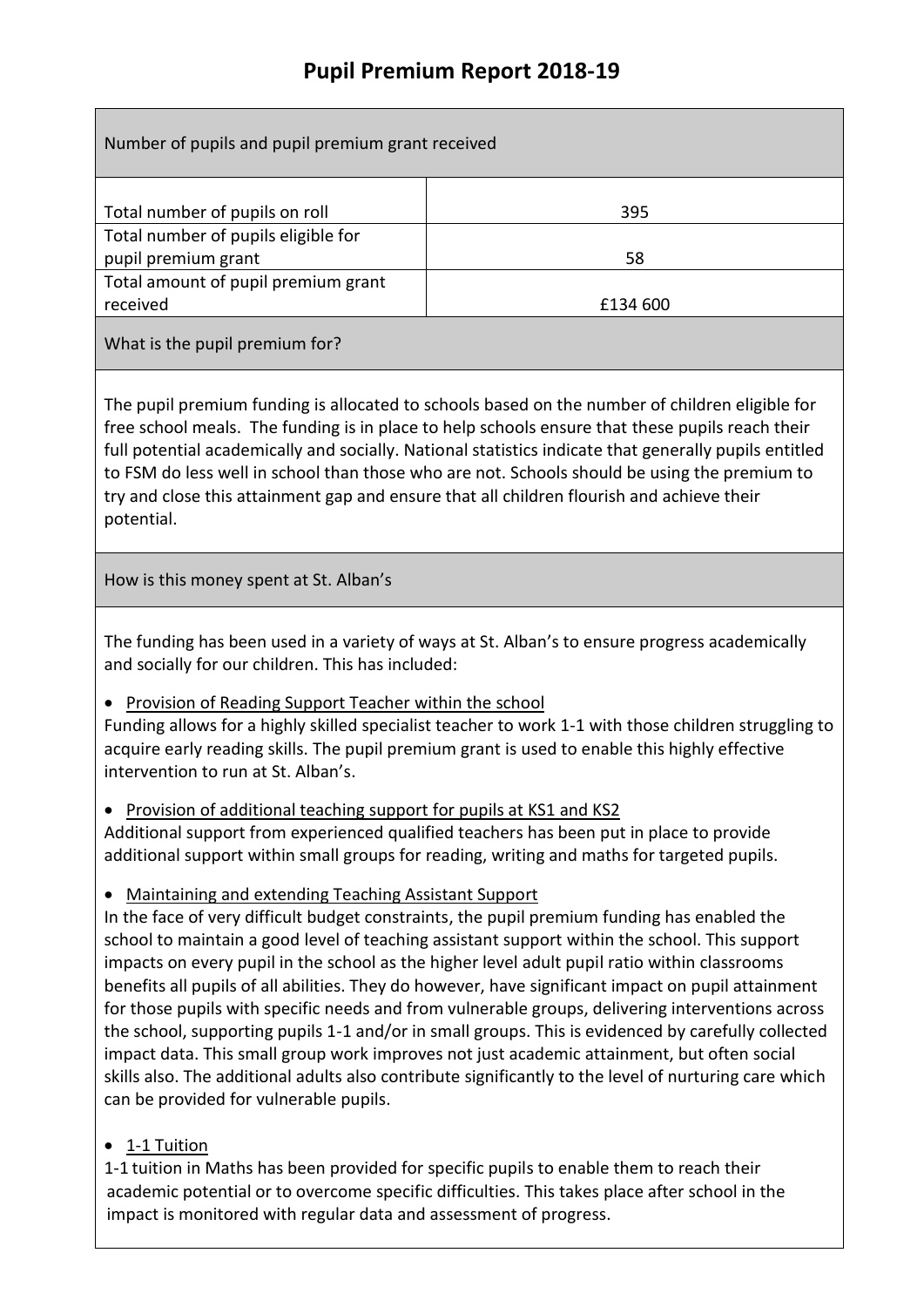# **Pupil Premium Report 2018-19**

| Number of pupils and pupil premium grant received                                                                                                                                                                                                                                                                                                                                                                                                                                                                                                                                                                                                                                                                                                                                                                                                                                                                     |          |
|-----------------------------------------------------------------------------------------------------------------------------------------------------------------------------------------------------------------------------------------------------------------------------------------------------------------------------------------------------------------------------------------------------------------------------------------------------------------------------------------------------------------------------------------------------------------------------------------------------------------------------------------------------------------------------------------------------------------------------------------------------------------------------------------------------------------------------------------------------------------------------------------------------------------------|----------|
|                                                                                                                                                                                                                                                                                                                                                                                                                                                                                                                                                                                                                                                                                                                                                                                                                                                                                                                       | 395      |
| Total number of pupils on roll<br>Total number of pupils eligible for                                                                                                                                                                                                                                                                                                                                                                                                                                                                                                                                                                                                                                                                                                                                                                                                                                                 |          |
| pupil premium grant                                                                                                                                                                                                                                                                                                                                                                                                                                                                                                                                                                                                                                                                                                                                                                                                                                                                                                   | 58       |
| Total amount of pupil premium grant<br>received                                                                                                                                                                                                                                                                                                                                                                                                                                                                                                                                                                                                                                                                                                                                                                                                                                                                       | £134 600 |
| What is the pupil premium for?                                                                                                                                                                                                                                                                                                                                                                                                                                                                                                                                                                                                                                                                                                                                                                                                                                                                                        |          |
| The pupil premium funding is allocated to schools based on the number of children eligible for<br>free school meals. The funding is in place to help schools ensure that these pupils reach their<br>full potential academically and socially. National statistics indicate that generally pupils entitled<br>to FSM do less well in school than those who are not. Schools should be using the premium to<br>try and close this attainment gap and ensure that all children flourish and achieve their<br>potential.                                                                                                                                                                                                                                                                                                                                                                                                 |          |
| How is this money spent at St. Alban's                                                                                                                                                                                                                                                                                                                                                                                                                                                                                                                                                                                                                                                                                                                                                                                                                                                                                |          |
| The funding has been used in a variety of ways at St. Alban's to ensure progress academically<br>and socially for our children. This has included:                                                                                                                                                                                                                                                                                                                                                                                                                                                                                                                                                                                                                                                                                                                                                                    |          |
| Provision of Reading Support Teacher within the school<br>Funding allows for a highly skilled specialist teacher to work 1-1 with those children struggling to<br>acquire early reading skills. The pupil premium grant is used to enable this highly effective<br>intervention to run at St. Alban's.                                                                                                                                                                                                                                                                                                                                                                                                                                                                                                                                                                                                                |          |
| Provision of additional teaching support for pupils at KS1 and KS2<br>Additional support from experienced qualified teachers has been put in place to provide<br>additional support within small groups for reading, writing and maths for targeted pupils.                                                                                                                                                                                                                                                                                                                                                                                                                                                                                                                                                                                                                                                           |          |
| Maintaining and extending Teaching Assistant Support<br>In the face of very difficult budget constraints, the pupil premium funding has enabled the<br>school to maintain a good level of teaching assistant support within the school. This support<br>impacts on every pupil in the school as the higher level adult pupil ratio within classrooms<br>benefits all pupils of all abilities. They do however, have significant impact on pupil attainment<br>for those pupils with specific needs and from vulnerable groups, delivering interventions across<br>the school, supporting pupils 1-1 and/or in small groups. This is evidenced by carefully collected<br>impact data. This small group work improves not just academic attainment, but often social<br>skills also. The additional adults also contribute significantly to the level of nurturing care which<br>can be provided for vulnerable pupils. |          |

## • 1-1 Tuition

1-1 tuition in Maths has been provided for specific pupils to enable them to reach their academic potential or to overcome specific difficulties. This takes place after school in the impact is monitored with regular data and assessment of progress.